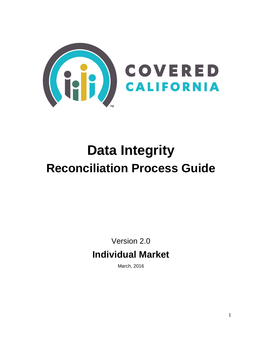

# **Data Integrity Reconciliation Process Guide**

Version 2.0 **Individual Market**

March, 2016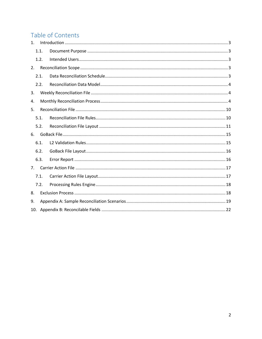# Table of Contents

| 1 <sub>1</sub> |      |  |
|----------------|------|--|
|                | 1.1. |  |
|                | 1.2. |  |
| 2.             |      |  |
|                | 2.1. |  |
|                | 2.2. |  |
| 3.             |      |  |
| 4.             |      |  |
| 5.             |      |  |
|                | 5.1. |  |
|                | 5.2. |  |
| 6.             |      |  |
|                | 6.1. |  |
|                | 6.2. |  |
|                | 6.3. |  |
| 7 <sub>1</sub> |      |  |
|                | 7.1. |  |
|                | 7.2. |  |
| 8.             |      |  |
| 9.             |      |  |
| 10.            |      |  |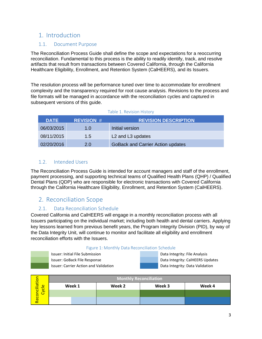# <span id="page-2-0"></span>1. Introduction

### <span id="page-2-1"></span>1.1. Document Purpose

The Reconciliation Process Guide shall define the scope and expectations for a reoccurring reconciliation. Fundamental to this process is the ability to readily identify, track, and resolve artifacts that result from transactions between Covered California, through the California Healthcare Eligibility, Enrollment, and Retention System (CalHEERS), and its Issuers.

The resolution process will be performance tuned over time to accommodate for enrollment complexity and the transparency required for root cause analysis. Revisions to the process and file formats will be managed in accordance with the reconciliation cycles and captured in subsequent versions of this guide.

| <b>DATE</b> | <b>REVISION #</b> | <b>REVISION DESCRIPTION</b>               |
|-------------|-------------------|-------------------------------------------|
| 06/03/2015  | 1.0               | Initial version                           |
| 08/11/2015  | 1.5               | L <sub>2</sub> and L <sub>3</sub> updates |
| 02/20/2016  | 2.0               | <b>GoBack and Carrier Action updates</b>  |

#### Table 1. Revision History

### <span id="page-2-2"></span>1.2. Intended Users

The Reconciliation Process Guide is intended for account managers and staff of the enrollment, payment processing, and supporting technical teams of Qualified Health Plans (QHP) / Qualified Dental Plans (QDP) who are responsible for electronic transactions with Covered California through the California Healthcare Eligibility, Enrollment, and Retention System (CalHEERS).

## <span id="page-2-3"></span>2. Reconciliation Scope

### 2.1. Data Reconciliation Schedule

<span id="page-2-4"></span>Covered California and CalHEERS will engage in a monthly reconciliation process with all Issuers participating on the individual market; including both health and dental carriers. Applying key lessons learned from previous benefit years, the Program Integrity Division (PID), by way of the Data Integrity Unit, will continue to monitor and facilitate all eligibility and enrollment reconciliation efforts with the Issuers.

| Figure 1: Monthly Data Reconciliation Schedule |
|------------------------------------------------|
|------------------------------------------------|

Issuer: Initial File Submission **Data Integrity: File Analysis** Data Integrity: File Analysis Issuer: GoBack File Response Data Integrity: CalHEERS Updates Issuer: Carrier Action and Validation Data Integrity: Data Validation

| Reconciliation<br>Cycle |        | <b>Monthly Reconciliation</b> |        |        |
|-------------------------|--------|-------------------------------|--------|--------|
|                         | Week 1 | Week 2                        | Week 3 | Week 4 |
|                         |        |                               |        |        |
|                         |        |                               |        |        |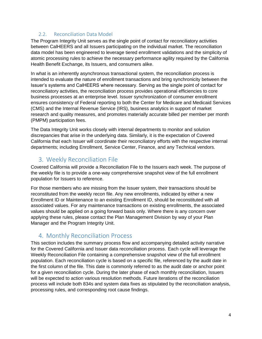### 2.2. Reconciliation Data Model

<span id="page-3-0"></span>The Program Integrity Unit serves as the single point of contact for reconciliatory activities between CalHEERS and all Issuers participating on the individual market. The reconciliation data model has been engineered to leverage tiered enrollment validations and the simplicity of atomic processing rules to achieve the necessary performance agility required by the California Health Benefit Exchange, its Issuers, and consumers alike.

In what is an inherently asynchronous transactional system, the reconciliation process is intended to evaluate the nature of enrollment transactions and bring synchronicity between the Issuer's systems and CalHEERS where necessary. Serving as the single point of contact for reconciliatory activities, the reconciliation process provides operational efficiencies to core business processes at an enterprise level. Issuer synchronization of consumer enrollment ensures consistency of Federal reporting to both the Center for Medicare and Medicaid Services (CMS) and the Internal Revenue Service (IRS), business analytics in support of market research and quality measures, and promotes materially accurate billed per member per month (PMPM) participation fees.

The Data Integrity Unit works closely with internal departments to monitor and solution discrepancies that arise in the underlying data. Similarly, it is the expectation of Covered California that each Issuer will coordinate their reconciliatory efforts with the respective internal departments; including Enrollment, Service Center, Finance, and any Technical vendors.

# <span id="page-3-1"></span>3. Weekly Reconciliation File

Covered California will provide a Reconciliation File to the Issuers each week. The purpose of the weekly file is to provide a one-way comprehensive snapshot view of the full enrollment population for Issuers to reference.

For those members who are missing from the Issuer system, their transactions should be reconstituted from the weekly recon file. Any new enrollments, indicated by either a new Enrollment ID or Maintenance to an existing Enrollment ID, should be reconstituted with all associated values. For any maintenance transactions on existing enrollments, the associated values should be applied on a going forward basis only. Where there is any concern over applying these rules, please contact the Plan Management Division by way of your Plan Manager and the Program Integrity Unit.

# <span id="page-3-2"></span>4. Monthly Reconciliation Process

This section includes the summary process flow and accompanying detailed activity narrative for the Covered California and Issuer data reconciliation process. Each cycle will leverage the Weekly Reconciliation File containing a comprehensive snapshot view of the full enrollment population. Each reconciliation cycle is based on a specific file, referenced by the audit date in the first column of the file. This date is commonly referred to as the audit date or anchor point for a given reconciliation cycle. During the later phase of each monthly reconciliation, Issuers will be expected to action various resolution methods. Future iterations of the reconciliation process will include both 834s and system data fixes as stipulated by the reconciliation analysis, processing rules, and corresponding root cause findings.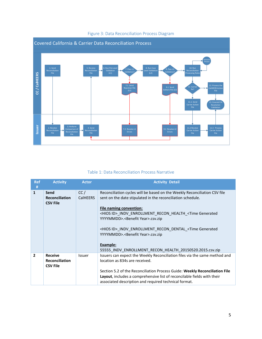

### Figure 3: Data Reconciliation Process Diagram

#### Table 1: Data Reconciliation Process Narrative

| <b>Ref</b><br># | <b>Activity</b>                                            | <b>Actor</b>           | <b>Activity Detail</b>                                                                                                                                                                                                                                                                                                                                                                                                                                                                                                    |
|-----------------|------------------------------------------------------------|------------------------|---------------------------------------------------------------------------------------------------------------------------------------------------------------------------------------------------------------------------------------------------------------------------------------------------------------------------------------------------------------------------------------------------------------------------------------------------------------------------------------------------------------------------|
| 1               | Send<br><b>Reconciliation</b><br><b>CSV File</b>           | CC/<br><b>CalHEERS</b> | Reconciliation cycles will be based on the Weekly Reconciliation CSV file<br>sent on the date stipulated in the reconciliation schedule.<br><b>File naming convention:</b><br><hios id="">_INDV_ENROLLMENT_RECON_HEALTH_<time generated<br="">YYYYMMDD&gt;.<benefit year="">.csv.zip<br/><hios id="">_INDV_ENROLLMENT_RECON_DENTAL_<time generated<br="">YYYYMMDD&gt;.<benefit year="">.csv.zip<br/>Example:<br/>55555 INDV ENROLLMENT RECON HEALTH 20150520.2015.csv.zip</benefit></time></hios></benefit></time></hios> |
| $\overline{2}$  | <b>Receive</b><br><b>Reconciliation</b><br><b>CSV File</b> | Issuer                 | Issuers can expect the Weekly Reconciliation files via the same method and<br>location as 834s are received.<br>Section 5.2 of the Reconciliation Process Guide: Weekly Reconciliation File<br>Layout, includes a comprehensive list of reconcilable fields with their<br>associated description and required technical format.                                                                                                                                                                                           |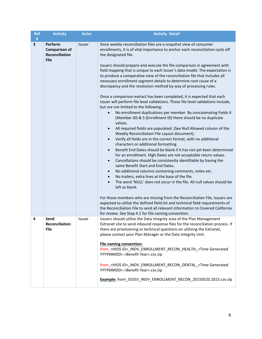| <b>Ref</b><br>$\#$ | <b>Activity</b>                                                         | <b>Actor</b>  | <b>Activity Detail</b>                                                                                                                                                                                                                                                                                                                                                                                                                                                                                                                                                                                                                                                                                                                                                                                                                                                                                                                                                                                                                                                                                                                                                                                                                                                                                                                                                                                                                                                                                                                                                                                                                                                                                                                                                                                                                                                                                                                                                                                                                |
|--------------------|-------------------------------------------------------------------------|---------------|---------------------------------------------------------------------------------------------------------------------------------------------------------------------------------------------------------------------------------------------------------------------------------------------------------------------------------------------------------------------------------------------------------------------------------------------------------------------------------------------------------------------------------------------------------------------------------------------------------------------------------------------------------------------------------------------------------------------------------------------------------------------------------------------------------------------------------------------------------------------------------------------------------------------------------------------------------------------------------------------------------------------------------------------------------------------------------------------------------------------------------------------------------------------------------------------------------------------------------------------------------------------------------------------------------------------------------------------------------------------------------------------------------------------------------------------------------------------------------------------------------------------------------------------------------------------------------------------------------------------------------------------------------------------------------------------------------------------------------------------------------------------------------------------------------------------------------------------------------------------------------------------------------------------------------------------------------------------------------------------------------------------------------------|
| 3                  | Perform<br><b>Comparison of</b><br><b>Reconciliation</b><br><b>File</b> | <b>Issuer</b> | Since weekly reconciliation files are a snapshot view of consumer<br>enrollments, it is of vital importance to anchor each reconciliation cycle off<br>the designated file.<br>Issuers should prepare and execute the file comparison in agreement with<br>field mapping that is unique to each Issuer's data model. The expectation is<br>to produce a comparative view of the reconciliation file that includes all<br>necessary enrollment segment details to determine root cause of a<br>discrepancy and the resolution method by way of processing rules.<br>Once a comparison extract has been completed, it is expected that each<br>Issuer will perform file level validations. Those file level validations include,<br>but are not limited to the following:<br>No enrollment duplications per member. By concatenating Fields 4<br>$\bullet$<br>(Member ID) & 5 (Enrollment ID) there should be no duplicate<br>values.<br>All required fields are populated. (See Null Allowed column of the<br>$\bullet$<br>Weekly Reconciliation File Layout document).<br>Verify all fields are in the correct format, with no additional<br>$\bullet$<br>characters or additional formatting.<br>Benefit End Dates should be blank if it has not yet been determined<br>$\bullet$<br>for an enrollment. High Dates are not acceptable return values.<br>Cancellations should be consistently identifiable by having the<br>$\bullet$<br>same Benefit Start and End Dates.<br>No additional columns containing comments, notes etc.<br>$\bullet$<br>No trailers, extra lines at the base of the file.<br>$\bullet$<br>The word 'NULL' does not occur in the file. All null values should be<br>$\bullet$<br>left as blank.<br>For those members who are missing from the Reconciliation File, Issuers are<br>expected to utilize the defined field list and technical field requirements of<br>the Reconciliation File to send all relevant information to Covered California<br>for review. See Step 4.1 for file naming convention. |
| 4                  | Send<br>Reconciliation<br><b>File</b>                                   | Issuer        | Issuers should utilize the Data Integrity area of the Plan Management<br>Extranet site to send inbound response files for the reconciliation process. If<br>there are provisioning or technical questions on utilizing the Extranet,<br>please contact your Plan Manager or the Data Integrity Unit.<br><b>File naming convention:</b><br>from_ <hios id="">_INDV_ENROLLMENT_RECON_HEALTH_<time generated<br="">YYYYMMDD&gt;.<benefit year="">.csv.zip<br/>from_<hios id="">_INDV_ENROLLMENT_RECON_DENTAL_<time generated<br="">YYYYMMDD&gt;.<benefit year="">.csv.zip<br/>Example: from_55555_INDV_ENROLLMENT_RECON_20150520.2015.csv.zip</benefit></time></hios></benefit></time></hios>                                                                                                                                                                                                                                                                                                                                                                                                                                                                                                                                                                                                                                                                                                                                                                                                                                                                                                                                                                                                                                                                                                                                                                                                                                                                                                                                            |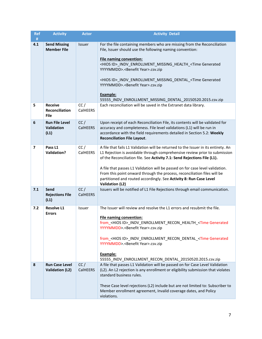| <b>Ref</b>              | <b>Activity</b>                                        | <b>Actor</b>           | <b>Activity Detail</b>                                                                                                                                                                                                                                                                                                                                                                                                                                                                                    |  |
|-------------------------|--------------------------------------------------------|------------------------|-----------------------------------------------------------------------------------------------------------------------------------------------------------------------------------------------------------------------------------------------------------------------------------------------------------------------------------------------------------------------------------------------------------------------------------------------------------------------------------------------------------|--|
| $\#$                    |                                                        |                        |                                                                                                                                                                                                                                                                                                                                                                                                                                                                                                           |  |
| 4.1                     | <b>Send Missing</b><br><b>Member File</b>              | Issuer                 | For the file containing members who are missing from the Reconciliation<br>File, Issuer should use the following naming convention:<br><b>File naming convention:</b><br><hios id="">_INDV_ENROLLMENT_MISSING_HEALTH_<time generated<="" th=""></time></hios>                                                                                                                                                                                                                                             |  |
|                         |                                                        |                        | YYYYMMDD>. <benefit year="">.csv.zip<br/><hios id="">_INDV_ENROLLMENT_MISSING_DENTAL_<time generated<="" th=""></time></hios></benefit>                                                                                                                                                                                                                                                                                                                                                                   |  |
|                         |                                                        |                        | YYYYMMDD>. <benefit year="">.csv.zip<br/>Example:</benefit>                                                                                                                                                                                                                                                                                                                                                                                                                                               |  |
|                         |                                                        |                        | 55555_INDV_ENROLLMENT_MISSING_DENTAL_20150520.2015.csv.zip                                                                                                                                                                                                                                                                                                                                                                                                                                                |  |
| 5                       | <b>Receive</b><br><b>Reconciliation</b><br><b>File</b> | CC/<br>CalHEERS        | Each reconciliation will be saved in the Extranet data library.                                                                                                                                                                                                                                                                                                                                                                                                                                           |  |
| 6                       | <b>Run File Level</b><br><b>Validation</b><br>(L1)     | CC/<br><b>CalHEERS</b> | Upon receipt of each Reconciliation File, its contents will be validated for<br>accuracy and completeness. File level validations (L1) will be run in<br>accordance with the field requirements detailed in Section 5.2: Weekly<br><b>Reconciliation File Layout.</b>                                                                                                                                                                                                                                     |  |
| $\overline{\mathbf{z}}$ | Pass L1<br><b>Validation?</b>                          | CC/<br>CalHEERS        | A file that fails L1 Validation will be returned to the Issuer in its entirety. An<br>L1 Rejection is avoidable through comprehensive review prior to submission<br>of the Reconciliation file. See Activity 7.1: Send Rejections File (L1).<br>A file that passes L1 Validation will be passed on for case level validation.<br>From this point onward through the process, reconciliation files will be<br>partitioned and routed accordingly. See Activity 8: Run Case Level<br><b>Validation (L2)</b> |  |
| 7.1                     | Send<br><b>Rejections File</b><br>(L1)                 | CC/<br><b>CalHEERS</b> | Issuers will be notified of L1 File Rejections through email communication.                                                                                                                                                                                                                                                                                                                                                                                                                               |  |
| 7.2                     | <b>Resolve L1</b>                                      | Issuer                 | The Issuer will review and resolve the L1 errors and resubmit the file.                                                                                                                                                                                                                                                                                                                                                                                                                                   |  |
|                         | <b>Errors</b>                                          |                        | <b>File naming convention:</b><br>from_ <hios id="">_INDV_ENROLLMENT_RECON_HEALTH_<time generated<="" th=""></time></hios>                                                                                                                                                                                                                                                                                                                                                                                |  |
|                         |                                                        |                        | YYYYMMDD>. <benefit year="">.csv.zip</benefit>                                                                                                                                                                                                                                                                                                                                                                                                                                                            |  |
|                         |                                                        |                        | from <hios id=""> INDV ENROLLMENT RECON DENTAL <time generated<br="">YYYYMMDD&gt;.<benefit year="">.csv.zip</benefit></time></hios>                                                                                                                                                                                                                                                                                                                                                                       |  |
|                         |                                                        |                        | Example:<br>55555_INDV_ENROLLMENT_RECON_DENTAL_20150520.2015.csv.zip                                                                                                                                                                                                                                                                                                                                                                                                                                      |  |
| 8                       | <b>Run Case Level</b>                                  | CC/                    | A file that passes L1 Validation will be passed on for Case Level Validation                                                                                                                                                                                                                                                                                                                                                                                                                              |  |
|                         | <b>Validation (L2)</b>                                 | <b>CalHEERS</b>        | (L2). An L2 rejection is any enrollment or eligibility submission that violates<br>standard business rules.                                                                                                                                                                                                                                                                                                                                                                                               |  |
|                         |                                                        |                        | These Case level rejections (L2) include but are not limited to: Subscriber to<br>Member enrollment agreement, Invalid coverage dates, and Policy<br>violations.                                                                                                                                                                                                                                                                                                                                          |  |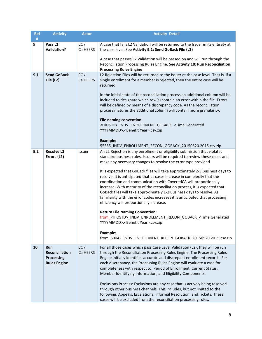| <b>Ref</b><br># | <b>Activity</b>                                                          | <b>Actor</b>    | <b>Activity Detail</b>                                                                                                                                                                                                                                                                                                                                                                                                                                                                                                                                                                                                                                                                                                                                                                                                                                                                                                                                                                                          |
|-----------------|--------------------------------------------------------------------------|-----------------|-----------------------------------------------------------------------------------------------------------------------------------------------------------------------------------------------------------------------------------------------------------------------------------------------------------------------------------------------------------------------------------------------------------------------------------------------------------------------------------------------------------------------------------------------------------------------------------------------------------------------------------------------------------------------------------------------------------------------------------------------------------------------------------------------------------------------------------------------------------------------------------------------------------------------------------------------------------------------------------------------------------------|
| 9               | Pass L <sub>2</sub><br><b>Validation?</b>                                | CC/<br>CalHEERS | A case that fails L2 Validation will be returned to the Issuer in its entirety at<br>the case level. See Activity 9.1: Send GoBack File (L2)<br>A case that passes L2 Validation will be passed on and will run through the<br>Reconciliation Processing Rules Engine. See Activity 10: Run Reconciliation                                                                                                                                                                                                                                                                                                                                                                                                                                                                                                                                                                                                                                                                                                      |
| 9.1             | <b>Send GoBack</b>                                                       | CC/             | <b>Processing Rules Engine</b><br>L2 Rejection Files will be returned to the Issuer at the case level. That is, if a                                                                                                                                                                                                                                                                                                                                                                                                                                                                                                                                                                                                                                                                                                                                                                                                                                                                                            |
|                 | File (L2)                                                                | CalHEERS        | single enrollment for a member is rejected, then the entire case will be<br>returned.<br>In the initial state of the reconciliation process an additional column will be<br>included to designate which row(s) contain an error within the file. Errors<br>will be defined by means of a discrepancy code. As the reconciliation<br>process matures the additional column will contain more granularity.<br><b>File naming convention:</b><br><hios id="">_INDV_ENROLLMENT_GOBACK_<time generated<br="">YYYYMMDD&gt;.<benefit year="">.csv.zip</benefit></time></hios>                                                                                                                                                                                                                                                                                                                                                                                                                                          |
|                 |                                                                          |                 | Example:<br>55555_INDV_ENROLLMENT_RECON_GOBACK_20150520.2015.csv.zip                                                                                                                                                                                                                                                                                                                                                                                                                                                                                                                                                                                                                                                                                                                                                                                                                                                                                                                                            |
| 9.2             | <b>Resolve L2</b><br>Errors (L2)                                         | Issuer          | An L2 Rejection is any enrollment or eligibility submission that violates<br>standard business rules. Issuers will be required to review these cases and<br>make any necessary changes to resolve the error type provided.<br>It is expected that GoBack files will take approximately 2-3 Business days to<br>resolve. It is anticipated that as cases increase in complexity that the<br>coordination and communication with CoveredCA will proportionally<br>increase. With maturity of the reconciliation process, it is expected that<br>GoBack files will take approximately 1-2 Business days to resolve. As<br>familiarity with the error codes increases it is anticipated that processing<br>efficiency will proportionally increase.<br><b>Return File Naming Convention:</b><br>from_ <hios id="">_INDV_ENROLLMENT_RECON_GOBACK_<time generated<br="">YYYYMMDD&gt;.<benefit year="">.csv.zip<br/>Example:<br/>from_59042_INDV_ENROLLMENT_RECON_GOBACK_20150520.2015.csv.zip</benefit></time></hios> |
| 10              | Run<br><b>Reconciliation</b><br><b>Processing</b><br><b>Rules Engine</b> | CC/<br>CalHEERS | For all those cases which pass Case Level Validation (L2), they will be run<br>through the Reconciliation Processing Rules Engine. The Processing Rules<br>Engine initially identifies accurate and discrepant enrollment records. For<br>each discrepancy, the Processing Rules Engine will evaluate a case for<br>completeness with respect to: Period of Enrollment, Current Status,<br>Member Identifying Information, and Eligibility Components.<br>Exclusions Process: Exclusions are any case that is actively being resolved<br>through other business channels. This includes, but not limited to the<br>following: Appeals, Escalations, Informal Resolution, and Tickets. These<br>cases will be excluded from the reconciliation processing rules.                                                                                                                                                                                                                                                 |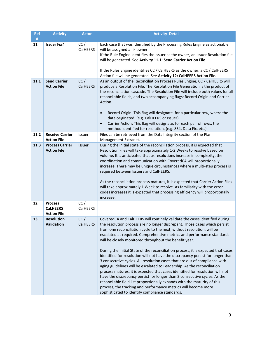| <b>Ref</b><br># | <b>Activity</b>                                         | <b>Actor</b>           | <b>Activity Detail</b>                                                                                                                                                                                                                                                                                                                                                                                                                                                                                                                                                                                                                                                                                                                                                                                                                                                                                                                                                                                                                                                 |
|-----------------|---------------------------------------------------------|------------------------|------------------------------------------------------------------------------------------------------------------------------------------------------------------------------------------------------------------------------------------------------------------------------------------------------------------------------------------------------------------------------------------------------------------------------------------------------------------------------------------------------------------------------------------------------------------------------------------------------------------------------------------------------------------------------------------------------------------------------------------------------------------------------------------------------------------------------------------------------------------------------------------------------------------------------------------------------------------------------------------------------------------------------------------------------------------------|
| 11              | <b>Issuer Fix?</b>                                      | CC/<br>CalHEERS        | Each case that was identified by the Processing Rules Engine as actionable<br>will be assigned a fix owner.<br>If the Rule Engine identifies the Issuer as the owner, an Issuer Resolution file<br>will be generated. See Activity 11.1: Send Carrier Action File<br>If the Rules Engine identifies CC / CalHEERS as the owner, a CC / CalHEERS                                                                                                                                                                                                                                                                                                                                                                                                                                                                                                                                                                                                                                                                                                                        |
|                 |                                                         |                        | Action file will be generated. See Activity 12: CalHEERS Action File.<br>As an output of the Reconciliation Process Rules Engine, CC / CalHEERS will                                                                                                                                                                                                                                                                                                                                                                                                                                                                                                                                                                                                                                                                                                                                                                                                                                                                                                                   |
| 11.1            | <b>Send Carrier</b><br><b>Action File</b>               | CC/<br><b>CalHEERS</b> | produce a Resolution File. The Resolution File Generation is the product of<br>the reconciliation cascade. The Resolution File will include both values for all<br>reconcilable fields, and two accompanying flags: Record Origin and Carrier<br>Action.<br>Record Origin: This flag will designate, for a particular row, where the<br>$\bullet$<br>data originated. (e.g. CalHEERS or Issuer)<br>Carrier Action: This flag will designate, for each pair of rows, the<br>$\bullet$                                                                                                                                                                                                                                                                                                                                                                                                                                                                                                                                                                                   |
|                 |                                                         |                        | method identified for resolution. (e.g. 834, Data Fix, etc.)                                                                                                                                                                                                                                                                                                                                                                                                                                                                                                                                                                                                                                                                                                                                                                                                                                                                                                                                                                                                           |
| 11.2            | <b>Receive Carrier</b><br><b>Action File</b>            | Issuer                 | Files can be retrieved from the Data Integrity section of the Plan<br>Management Extranet.                                                                                                                                                                                                                                                                                                                                                                                                                                                                                                                                                                                                                                                                                                                                                                                                                                                                                                                                                                             |
| 11.3            | <b>Process Carrier</b><br><b>Action File</b>            | Issuer                 | During the initial state of the reconciliation process, it is expected that<br>Resolution Files will take approximately 1-2 Weeks to resolve based on<br>volume. It is anticipated that as resolutions increase in complexity, the<br>coordination and communication with CoveredCA will proportionally<br>increase. There may be unique circumstances where a multi-step process is<br>required between Issuers and CalHEERS.<br>As the reconciliation process matures, it is expected that Carrier Action Files<br>will take approximately 1 Week to resolve. As familiarity with the error<br>codes increases it is expected that processing efficiency will proportionally<br>increase.                                                                                                                                                                                                                                                                                                                                                                            |
| 12              | <b>Process</b><br><b>CaLHEERS</b><br><b>Action File</b> | CC/<br>CalHEERS        |                                                                                                                                                                                                                                                                                                                                                                                                                                                                                                                                                                                                                                                                                                                                                                                                                                                                                                                                                                                                                                                                        |
| 13              | <b>Resolution</b><br>Validation                         | CC/<br><b>CalHEERS</b> | CoveredCA and CalHEERS will routinely validate the cases identified during<br>the resolution process are no longer discrepant. Those cases which persist<br>from one reconciliation cycle to the next, without resolution, will be<br>escalated as required. Comprehensive metrics and performance standards<br>will be closely monitored throughout the benefit year.<br>During the Initial State of the reconciliation process, it is expected that cases<br>identified for resolution will not have the discrepancy persist for longer than<br>3 consecutive cycles. All resolution cases that are out of compliance with<br>aging guidelines will be escalated to Leadership. As the reconciliation<br>process matures, it is expected that cases identified for resolution will not<br>have the discrepancy persist for longer than 2 consecutive cycles. As the<br>reconcilable field list proportionally expands with the maturity of this<br>process, the tracking and performance metrics will become more<br>sophisticated to identify compliance standards. |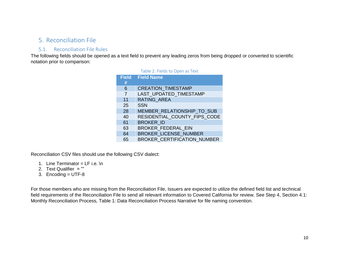# 5. Reconciliation File

### 5.1. Reconciliation File Rules

The following fields should be opened as a text field to prevent any leading zeros from being dropped or converted to scientific notation prior to comparison:

|              | Table 2: Fields to Open as Text    |
|--------------|------------------------------------|
| <b>Field</b> | <b>Field Name</b>                  |
| #            |                                    |
| 6            | <b>CREATION TIMESTAMP</b>          |
| 7            | LAST UPDATED TIMESTAMP             |
| 11           | <b>RATING AREA</b>                 |
| 25           | <b>SSN</b>                         |
| 28           | MEMBER RELATIONSHIP TO SUB         |
| 40           | RESIDENTIAL_COUNTY_FIPS_CODE       |
| 61           | <b>BROKER ID</b>                   |
| 63           | <b>BROKER FEDERAL EIN</b>          |
| 64           | <b>BROKER LICENSE NUMBER</b>       |
| 65           | <b>BROKER CERTIFICATION_NUMBER</b> |

<span id="page-9-1"></span><span id="page-9-0"></span>Reconciliation CSV files should use the following CSV dialect:

- 1. Line Terminator =  $LF$  i.e. \n
- 2. Text Qualifier = ""
- 3. Encoding = UTF-8

For those members who are missing from the Reconciliation File, Issuers are expected to utilize the defined field list and technical field requirements of the Reconciliation File to send all relevant information to Covered California for review. See Step 4, Section 4.1: Monthly Reconciliation Process, Table 1: Data Reconciliation Process Narrative for file naming convention.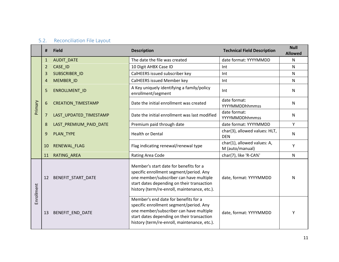# 5.2. Reconciliation File Layout

<span id="page-10-0"></span>

|            | #            | <b>Field</b>              | <b>Description</b>                                                                                                                                                                                                         | <b>Technical Field Description</b>             | <b>Null</b><br><b>Allowed</b> |
|------------|--------------|---------------------------|----------------------------------------------------------------------------------------------------------------------------------------------------------------------------------------------------------------------------|------------------------------------------------|-------------------------------|
|            | $\mathbf{1}$ | AUDIT_DATE                | The date the file was created                                                                                                                                                                                              | date format: YYYYMMDD                          | $\mathsf{N}$                  |
|            | 2            | CASE_ID                   | 10 Digit AHBX Case ID                                                                                                                                                                                                      | Int                                            | $\mathsf{N}$                  |
|            | 3            | SUBSCRIBER ID             | CalHEERS issued subscriber key                                                                                                                                                                                             | Int                                            | $\mathsf{N}$                  |
| Primary    | 4            | MEMBER ID                 | CalHEERS issued Member key                                                                                                                                                                                                 | Int                                            | $\mathsf{N}$                  |
|            | 5            | ENROLLMENT ID             | A Key uniquely identifying a family/policy<br>enrollment/segment                                                                                                                                                           | Int                                            | $\mathsf{N}$                  |
|            | 6            | <b>CREATION_TIMESTAMP</b> | Date the initial enrollment was created                                                                                                                                                                                    | date format:<br>YYYYMMDDhhmmss                 | $\mathsf{N}$                  |
|            | 7            | LAST_UPDATED_TIMESTAMP    | Date the initial enrollment was last modified                                                                                                                                                                              | date format:<br>YYYYMMDDhhmmss                 | $\mathsf{N}$                  |
|            | 8            | LAST_PREMIUM_PAID_DATE    | Premium paid through date                                                                                                                                                                                                  | date format: YYYYMMDD                          | Y                             |
|            | 9            | PLAN TYPE                 | <b>Health or Dental</b>                                                                                                                                                                                                    | char(3), allowed values: HLT,<br><b>DFN</b>    | $\mathsf{N}$                  |
|            | 10           | <b>RENEWAL FLAG</b>       | Flag indicating renewal/renewal type                                                                                                                                                                                       | char(1), allowed values: A,<br>M (auto/manual) | Y                             |
|            | 11           | RATING_AREA               | Rating Area Code                                                                                                                                                                                                           | char(7), like 'R-CA%'                          | $\mathsf{N}$                  |
| Enrollment | 12           | BENEFIT_START_DATE        | Member's start date for benefits for a<br>specific enrollment segment/period. Any<br>one member/subscriber can have multiple<br>start dates depending on their transaction<br>history (term/re-enroll, maintenance, etc.). | date, format: YYYYMMDD                         | N                             |
|            | 13           | BENEFIT_END_DATE          | Member's end date for benefits for a<br>specific enrollment segment/period. Any<br>one member/subscriber can have multiple<br>start dates depending on their transaction<br>history (term/re-enroll, maintenance, etc.).   | date, format: YYYYMMDD                         | Υ                             |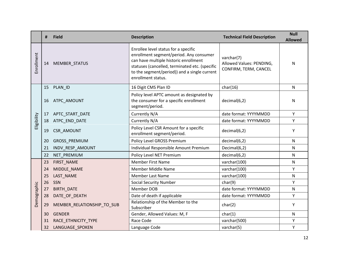|             | Ħ. | <b>Field</b>               | <b>Description</b>                                                                                                                                                                                                                               | <b>Technical Field Description</b>                              | <b>Null</b><br><b>Allowed</b> |
|-------------|----|----------------------------|--------------------------------------------------------------------------------------------------------------------------------------------------------------------------------------------------------------------------------------------------|-----------------------------------------------------------------|-------------------------------|
| Enrollment  | 14 | MEMBER_STATUS              | Enrollee level status for a specific<br>enrollment segment/period. Any consumer<br>can have multiple historic enrollment<br>statuses (cancelled, terminated etc. (specific<br>to the segment/period)) and a single current<br>enrollment status. | varchar(7)<br>Allowed Values: PENDING,<br>CONFIRM, TERM, CANCEL | N                             |
|             | 15 | PLAN_ID                    | 16 Digit CMS Plan ID                                                                                                                                                                                                                             | char(16)                                                        | N                             |
|             | 16 | ATPC_AMOUNT                | Policy level APTC amount as designated by<br>the consumer for a specific enrollment<br>segment/period.                                                                                                                                           | decimal(6,2)                                                    | N                             |
|             | 17 | APTC_START_DATE            | Currently N/A                                                                                                                                                                                                                                    | date format: YYYYMMDD                                           | Y                             |
| Eligibility | 18 | ATPC_END_DATE              | Currently N/A                                                                                                                                                                                                                                    | date format: YYYYMMDD                                           | Υ                             |
|             | 19 | CSR_AMOUNT                 | Policy Level CSR Amount for a specific<br>enrollment segment/period.                                                                                                                                                                             | decimal(6,2)                                                    | Υ                             |
|             | 20 | GROSS_PREMIUM              | Policy Level GROSS Premium                                                                                                                                                                                                                       | decimal(6,2)                                                    | $\mathsf{N}$                  |
|             | 21 | INDV_RESP_AMOUNT           | Individual Responsible Amount Premium                                                                                                                                                                                                            | Decimal(6,2)                                                    | N                             |
|             | 22 | NET PREMIUM                | Policy Level NET Premium                                                                                                                                                                                                                         | decimal(6,2)                                                    | N                             |
|             | 23 | FIRST_NAME                 | <b>Member First Name</b>                                                                                                                                                                                                                         | varchar(100)                                                    | N                             |
|             | 24 | MIDDLE_NAME                | Member Middle Name                                                                                                                                                                                                                               | varchar(100)                                                    | Υ                             |
|             | 25 | LAST_NAME                  | <b>Member Last Name</b>                                                                                                                                                                                                                          | varchar(100)                                                    | N                             |
|             | 26 | SSN                        | <b>Social Security Number</b>                                                                                                                                                                                                                    | char(9)                                                         | Υ                             |
|             | 27 | <b>BIRTH_DATE</b>          | <b>Member DOB</b>                                                                                                                                                                                                                                | date format: YYYYMMDD                                           | N                             |
|             | 28 | DATE_OF_DEATH              | Date of death if applicable                                                                                                                                                                                                                      | date format: YYYYMMDD                                           | Y                             |
| Demographic | 29 | MEMBER_RELATIONSHIP_TO_SUB | Relationship of the Member to the<br>Subscriber                                                                                                                                                                                                  | char(2)                                                         | Υ                             |
|             | 30 | <b>GENDER</b>              | Gender, Allowed Values: M, F                                                                                                                                                                                                                     | char(1)                                                         | $\mathsf{N}$                  |
|             | 31 | RACE_ETHNICITY_TYPE        | Race Code                                                                                                                                                                                                                                        | varchar(500)                                                    | Υ                             |
|             | 32 | LANGUAGE_SPOKEN            | Language Code                                                                                                                                                                                                                                    | varchar(5)                                                      | Υ                             |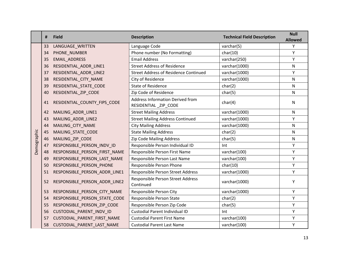|             | #  | <b>Field</b>                  | <b>Description</b>                                       | <b>Technical Field Description</b> | <b>Null</b><br><b>Allowed</b> |
|-------------|----|-------------------------------|----------------------------------------------------------|------------------------------------|-------------------------------|
|             | 33 | LANGUAGE_WRITTEN              | Language Code                                            | varchar(5)                         | Υ                             |
|             | 34 | PHONE NUMBER                  | Phone number (No Formatting)                             | char(10)                           | Υ                             |
|             | 35 | <b>EMAIL ADDRESS</b>          | <b>Email Address</b>                                     | varchar(250)                       | Y                             |
|             | 36 | RESIDENTIAL_ADDR_LINE1        | <b>Street Address of Residence</b>                       | varchar(1000)                      | N                             |
|             | 37 | RESIDENTIAL_ADDR_LINE2        | <b>Street Address of Residence Continued</b>             | varchar(1000)                      | Υ                             |
|             | 38 | RESIDENTIAL_CITY_NAME         | City of Residence                                        | varchar(1000)                      | N                             |
|             | 39 | RESIDENTIAL_STATE_CODE        | <b>State of Residence</b>                                | char(2)                            | N                             |
|             | 40 | RESIDENTIAL_ZIP_CODE          | Zip Code of Residence                                    | char(5)                            | N                             |
|             | 41 | RESIDENTIAL_COUNTY_FIPS_CODE  | Address Information Derived from<br>RESIDENTIAL_ZIP_CODE | char(4)                            | ${\sf N}$                     |
|             | 42 | MAILING ADDR LINE1            | <b>Street Mailing Address</b>                            | varchar(1000)                      | N                             |
|             | 43 | MAILING ADDR LINE2            | <b>Street Mailing Address Continued</b>                  | varchar(1000)                      | Y                             |
|             | 44 | MAILING_CITY_NAME             | <b>City Mailing Address</b>                              | varchar(1000)                      | N                             |
|             | 45 | MAILING_STATE_CODE            | <b>State Mailing Address</b>                             | char(2)                            | N                             |
| Demographic | 46 | MAILING_ZIP_CODE              | Zip Code Mailing Address                                 | char(5)                            | N                             |
|             | 47 | RESPONSIBLE PERSON INDV ID    | Responsible Person Individual ID                         | Int                                | Υ                             |
|             | 48 | RESPONSIBLE_PERSON_FIRST_NAME | Responsible Person First Name                            | varchar(100)                       | Y                             |
|             | 49 | RESPONSIBLE_PERSON_LAST_NAME  | Responsible Person Last Name                             | varchar(100)                       | Υ                             |
|             | 50 | RESPONSIBLE PERSON PHONE      | Responsible Person Phone                                 | char(10)                           | Y                             |
|             | 51 | RESPONSIBLE_PERSON_ADDR_LINE1 | Responsible Person Street Address                        | varchar(1000)                      | Υ                             |
|             | 52 | RESPONSIBLE_PERSON_ADDR_LINE2 | Responsible Person Street Address<br>Continued           | varchar(1000)                      | Υ                             |
|             | 53 | RESPONSIBLE_PERSON_CITY_NAME  | Responsible Person City                                  | varchar(1000)                      | Y                             |
|             | 54 | RESPONSIBLE_PERSON_STATE_CODE | Responsible Person State                                 | char(2)                            | Υ                             |
|             | 55 | RESPONSIBLE PERSON ZIP CODE   | Responsible Person Zip Code                              | char(5)                            | Υ                             |
|             | 56 | CUSTODIAL_PARENT_INDV_ID      | Custodial Parent Individual ID                           | Int                                | Υ                             |
|             | 57 | CUSTODIAL_PARENT_FIRST_NAME   | <b>Custodial Parent First Name</b>                       | varchar(100)                       | Υ                             |
|             | 58 | CUSTODIAL PARENT LAST NAME    | <b>Custodial Parent Last Name</b>                        | varchar(100)                       | Υ                             |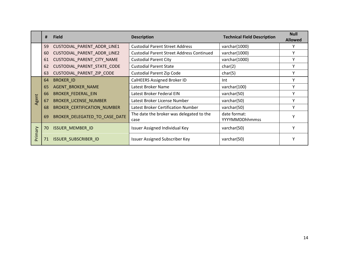|        | #  | <b>Field</b>                       | <b>Description</b>                               | <b>Technical Field Description</b>    | <b>Null</b><br><b>Allowed</b> |
|--------|----|------------------------------------|--------------------------------------------------|---------------------------------------|-------------------------------|
|        | 59 | CUSTODIAL_PARENT_ADDR_LINE1        | <b>Custodial Parent Street Address</b>           | varchar(1000)                         |                               |
|        | 60 | CUSTODIAL_PARENT_ADDR_LINE2        | <b>Custodial Parent Street Address Continued</b> | varchar(1000)                         |                               |
|        | 61 | CUSTODIAL_PARENT_CITY_NAME         | <b>Custodial Parent City</b>                     | varchar(1000)                         |                               |
|        | 62 | CUSTODIAL_PARENT_STATE_CODE        | <b>Custodial Parent State</b>                    | char(2)                               |                               |
|        | 63 | CUSTODIAL_PARENT_ZIP_CODE          | <b>Custodial Parent Zip Code</b>                 | char(5)                               |                               |
|        | 64 | <b>BROKER ID</b>                   | <b>CalHEERS Assigned Broker ID</b>               | Int                                   |                               |
|        | 65 | AGENT_BROKER_NAME                  | Latest Broker Name                               | varchar(100)                          |                               |
|        | 66 | <b>BROKER_FEDERAL_EIN</b>          | Latest Broker Federal EIN                        | varchar(50)                           |                               |
| Agent  | 67 | <b>BROKER_LICENSE_NUMBER</b>       | Latest Broker License Number                     | varchar(50)                           |                               |
|        | 68 | <b>BROKER CERTIFICATION NUMBER</b> | Latest Broker Certification Number               | varchar(50)                           |                               |
|        | 69 | BROKER DELEGATED TO CASE DATE      | The date the broker was delegated to the<br>case | date format:<br><b>YYYYMMDDhhmmss</b> |                               |
|        | 70 | <b>ISSUER_MEMBER_ID</b>            | Issuer Assigned Individual Key                   | varchar(50)                           |                               |
| Yımary | 71 | ISSUER_SUBSCRIBER_ID               | <b>Issuer Assigned Subscriber Key</b>            | varchar(50)                           |                               |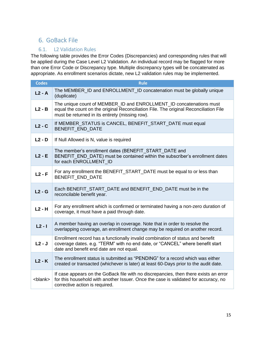# <span id="page-14-0"></span>6. GoBack File

### 6.1. L2 Validation Rules

<span id="page-14-1"></span>The following table provides the Error Codes (Discrepancies) and corresponding rules that will be applied during the Case Level L2 Validation. An individual record may be flagged for more than one Error Code or Discrepancy type. Multiple discrepancy types will be concatenated as appropriate. As enrollment scenarios dictate, new L2 validation rules may be implemented.

| <b>Codes</b>    | <b>Rule</b>                                                                                                                                                                                                     |
|-----------------|-----------------------------------------------------------------------------------------------------------------------------------------------------------------------------------------------------------------|
| $L2 - A$        | The MEMBER_ID and ENROLLMENT_ID concatenation must be globally unique<br>(duplicate)                                                                                                                            |
| $L2 - B$        | The unique count of MEMBER_ID and ENROLLMENT_ID concatenations must<br>equal the count on the original Reconciliation File. The original Reconciliation File<br>must be returned in its entirety (missing row). |
| $L2 - C$        | If MEMBER_STATUS is CANCEL, BENEFIT_START_DATE must equal<br>BENEFIT_END_DATE                                                                                                                                   |
| $L2 - D$        | If Null Allowed is N, value is required                                                                                                                                                                         |
| $L2 - E$        | The member's enrollment dates (BENEFIT_START_DATE and<br>BENEFIT_END_DATE) must be contained within the subscriber's enrollment dates<br>for each ENROLLMENT ID                                                 |
| $L2 - F$        | For any enrollment the BENEFIT_START_DATE must be equal to or less than<br>BENEFIT_END_DATE                                                                                                                     |
| $L2 - G$        | Each BENEFIT_START_DATE and BENEFIT_END_DATE must be in the<br>reconcilable benefit year.                                                                                                                       |
| $L2 - H$        | For any enrollment which is confirmed or terminated having a non-zero duration of<br>coverage, it must have a paid through date.                                                                                |
| $L2 - I$        | A member having an overlap in coverage. Note that in order to resolve the<br>overlapping coverage, an enrollment change may be required on another record.                                                      |
| $L2 - J$        | Enrollment record has a functionally invalid combination of status and benefit<br>coverage dates. e.g. "TERM" with no end date, or "CANCEL" where benefit start<br>date and benefit end date are not equal.     |
| $L2 - K$        | The enrollment status is submitted as "PENDING" for a record which was either<br>created or transacted (whichever is later) at least 60-Days prior to the audit date.                                           |
| <blank></blank> | If case appears on the GoBack file with no discrepancies, then there exists an error<br>for this household with another Issuer. Once the case is validated for accuracy, no<br>corrective action is required.   |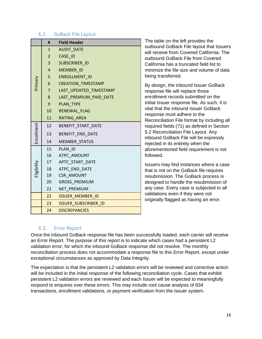#### 6.2. GoBack File Layout

<span id="page-15-0"></span>

|             | #               | <b>Field Header</b>         |
|-------------|-----------------|-----------------------------|
|             | $\mathbf{1}$    | <b>AUDIT DATE</b>           |
|             | $\overline{2}$  | CASE ID                     |
|             | 3 <sup>1</sup>  | SUBSCRIBER ID               |
|             | $\overline{4}$  | MEMBER ID                   |
|             | 5               | ENROLLMENT ID               |
| Primary     | 6               | <b>CREATION_TIMESTAMP</b>   |
|             | $\overline{7}$  | LAST_UPDATED_TIMESTAMP      |
|             | 8               | LAST PREMIUM PAID DATE      |
|             | 9               | <b>PLAN TYPE</b>            |
|             |                 | 10 RENEWAL FLAG             |
|             |                 | 11 RATING AREA              |
|             | 12              | BENEFIT START DATE          |
| Enrollment  | 13              | BENEFIT_END_DATE            |
|             | 14              | <b>MEMBER STATUS</b>        |
|             | 15              | PLAN ID                     |
|             |                 | 16 ATPC AMOUNT              |
|             | 17              | APTC START DATE             |
| Eligibility | 18              | ATPC END DATE               |
|             | 19              | <b>CSR AMOUNT</b>           |
|             | 20 <sub>2</sub> | <b>GROSS PREMIUM</b>        |
|             | 21              | NET PREMIUM                 |
|             | 22              | <b>ISSUER MEMBER ID</b>     |
|             | 23              | <b>ISSUER SUBSCRIBER ID</b> |
|             | 24              | <b>DISCREPANCIES</b>        |

The table on the left provides the outbound GoBack File layout that Issuers will receive from Covered California. The outbound GoBack File from Covered California has a truncated field list to minimize the file size and volume of data being transferred.

By design, the inbound Issuer GoBack response file will replace those enrollment records submitted on the initial Issuer response file. As such, it is vital that the inbound Issuer GoBack response must adhere to the Reconciliation File format by including all required fields (71) as defined in Section 5.2 Reconciliation File Layout. Any inbound GoBack File will be expressly rejected in its entirety when the aforementioned field requirement is not followed.

Issuers may find instances where a case that is not on the GoBack file requires resubmission. The GoBack process is designed to handle the resubmission of any case. Every case is subjected to all validations even if they were not originally flagged as having an error.

### 6.3. Error Report

<span id="page-15-1"></span>Once the inbound GoBack response file has been successfully loaded, each carrier will receive an Error Report. The purpose of this report is to indicate which cases had a persistent L2 validation error, for which the inbound GoBack response did not resolve. The monthly reconciliation process does not accommodate a response file to this Error Report, except under exceptional circumstances as approved by Data Integrity.

The expectation is that the persistent L2 validation errors will be reviewed and corrective action will be included in the initial response of the following reconciliation cycle. Cases that exhibit persistent L2 validation errors are reviewed and each Issuer will be expected to meaningfully respond to enquires over these errors. This may include root cause analysis of 834 transactions, enrollment validations, or payment verification from the Issuer system.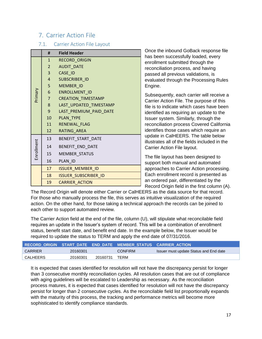# <span id="page-16-0"></span>7. Carrier Action File

### 7.1. Carrier Action File Layout

<span id="page-16-1"></span>

|            | #              | <b>Field Header</b>         |
|------------|----------------|-----------------------------|
|            | 1              | RECORD_ORIGIN               |
|            | $2^{\circ}$    | <b>AUDIT_DATE</b>           |
|            | 3 <sup>1</sup> | CASE ID                     |
|            | $\overline{4}$ | SUBSCRIBER_ID               |
|            | 5 <sup>1</sup> | MEMBER_ID                   |
| Primary    | 6              | ENROLLMENT ID               |
|            | $\overline{7}$ | <b>CREATION_TIMESTAMP</b>   |
|            | 8              | LAST_UPDATED_TIMESTAMP      |
|            | 9              | LAST_PREMIUM_PAID_DATE      |
|            | $10-10$        | PLAN_TYPE                   |
|            | 11             | RENEWAL_FLAG                |
|            | 12             | RATING AREA                 |
|            | 13             | BENEFIT_START_DATE          |
| Enrollment | 14             | BENEFIT_END_DATE            |
|            | 15             | <b>MEMBER STATUS</b>        |
|            | 16             | PLAN ID                     |
|            | 17             | <b>ISSUER_MEMBER_ID</b>     |
|            | 18             | <b>ISSUER SUBSCRIBER ID</b> |
|            | 19             | <b>CARRIER ACTION</b>       |

Once the inbound GoBack response file has been successfully loaded, every enrollment submitted through the reconciliation process, and having passed all previous validations, is evaluated through the Processing Rules Engine.

Subsequently, each carrier will receive a Carrier Action File. The purpose of this file is to indicate which cases have been identified as requiring an update to the Issuer system. Similarly, through the reconciliation process Covered California identifies those cases which require an update in CalHEERS. The table below illustrates all of the fields included in the Carrier Action File layout.

The file layout has been designed to support both manual and automated approaches to Carrier Action processing. Each enrollment record is presented as an ordered pair, differentiated by the Record Origin field in the first column (A).

The Record Origin will denote either Carrier or CalHEERS as the data source for that record. For those who manually process the file, this serves as intuitive visualization of the required action. On the other hand, for those taking a technical approach the records can be joined to each other to support automated review.

The Carrier Action field at the end of the file, column (U), will stipulate what reconcilable field requires an update in the Issuer's system of record. This will be a combination of enrollment status, benefit start date, and benefit end date. In the example below, the Issuer would be required to update the status to TERM and apply the end date of 07/31/2016.

|          |          |          | 「RECORD_ORIGIN START_DATE END_DATE MEMBER_STATUS CARRIER_ACTION」 |                                               |
|----------|----------|----------|------------------------------------------------------------------|-----------------------------------------------|
| CARRIER  | 20160301 |          | <b>CONFIRM</b>                                                   | <b>Issuer must update Status and End date</b> |
| CALHEERS | 20160301 | 20160731 | TFRM                                                             |                                               |

It is expected that cases identified for resolution will not have the discrepancy persist for longer than 3 consecutive monthly reconciliation cycles. All resolution cases that are out of compliance with aging guidelines will be escalated to Leadership as necessary. As the reconciliation process matures, it is expected that cases identified for resolution will not have the discrepancy persist for longer than 2 consecutive cycles. As the reconcilable field list proportionally expands with the maturity of this process, the tracking and performance metrics will become more sophisticated to identify compliance standards.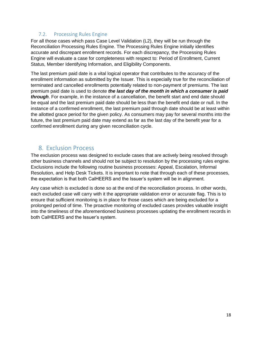### 7.2. Processing Rules Engine

<span id="page-17-0"></span>For all those cases which pass Case Level Validation (L2), they will be run through the Reconciliation Processing Rules Engine. The Processing Rules Engine initially identifies accurate and discrepant enrollment records. For each discrepancy, the Processing Rules Engine will evaluate a case for completeness with respect to: Period of Enrollment, Current Status, Member Identifying Information, and Eligibility Components.

The last premium paid date is a vital logical operator that contributes to the accuracy of the enrollment information as submitted by the Issuer. This is especially true for the reconciliation of terminated and cancelled enrollments potentially related to non-payment of premiums. The last premium paid date is used to denote *the last day of the month in which a consumer is paid through*. For example, in the instance of a cancellation, the benefit start and end date should be equal and the last premium paid date should be less than the benefit end date or null. In the instance of a confirmed enrollment, the last premium paid through date should be at least within the allotted grace period for the given policy. As consumers may pay for several months into the future, the last premium paid date may extend as far as the last day of the benefit year for a confirmed enrollment during any given reconciliation cycle.

### <span id="page-17-1"></span>8. Exclusion Process

The exclusion process was designed to exclude cases that are actively being resolved through other business channels and should not be subject to resolution by the processing rules engine. Exclusions include the following routine business processes: Appeal, Escalation, Informal Resolution, and Help Desk Tickets. It is important to note that through each of these processes, the expectation is that both CalHEERS and the Issuer's system will be in alignment.

Any case which is excluded is done so at the end of the reconciliation process. In other words, each excluded case will carry with it the appropriate validation error or accurate flag. This is to ensure that sufficient monitoring is in place for those cases which are being excluded for a prolonged period of time. The proactive monitoring of excluded cases provides valuable insight into the timeliness of the aforementioned business processes updating the enrollment records in both CalHEERS and the Issuer's system.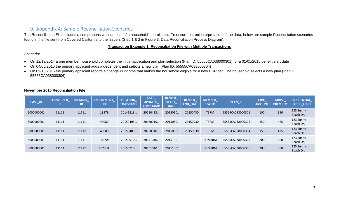### 9. Appendix A: Sample Reconciliation Scenarios

The Reconciliation File includes a comprehensive snap shot of a household's enrollment. To ensure correct interpretation of the data, below are sample Reconciliation scenarios found in the file sent from Covered California to the Issuers (Step 1 & 2 in Figure 3: Data Reconciliation Process Diagram):

#### **Transaction Example 1: Reconciliation File with Multiple Transactions**

#### *Scenario:*

- On 12/13/2014 a one member household completes the initial application and plan selection (Plan ID: 55555CA038000301) for a 01/01/2015 benefit start date
- On 04/05/2015 the primary applicant adds a dependent and selects a new plan (Plan ID: 55555CA038000304)
- On 09/10/2015 the primary applicant reports a change in income that makes the household eligible for a new CSR tier. The household selects a new plan (Plan ID: 55555CA038000306).

| <b>CASE_ID</b> | <b>SUBSCRIBER</b><br>ID. | <b>MEMBER</b><br>ID | <b>ENROLLMENT</b><br>ID | <b>CREATION</b><br><b>TIMESTAMP</b> | <b>LAST</b><br><b>UPDATED</b><br><b>TIMESTAMP</b> | <b>BENEFIT</b><br><b>START</b><br><b>DATE</b> | <b>BENEFIT</b><br><b>END DATE</b> | <b>MEMBER</b><br><b>STATUS</b> | PLAN_ID          | <b>ATPC</b><br><b>AMOUNT</b> | GROSS_<br><b>PREMIUM</b> | <b>RESIDENTIAL</b><br><b>ADDR LINE1</b> |
|----------------|--------------------------|---------------------|-------------------------|-------------------------------------|---------------------------------------------------|-----------------------------------------------|-----------------------------------|--------------------------------|------------------|------------------------------|--------------------------|-----------------------------------------|
| 5000000001     | 11111                    | 11111               | 13579                   | 20141213                            | 20150413                                          | 20150101                                      | 20150430                          | <b>TERM</b>                    | 55555CA038000301 | 100                          | 350                      | 123 Sunny<br>Beach Dr.                  |
| 5000000001     | 11111                    | 11111               | 43080                   | 20150405                            | 20150910.                                         | 20150501                                      | 20150930                          | <b>TERM</b>                    | 55555CA038000304 | 150                          | 425                      | 123 Sunny<br>Beach Dr.                  |
| 5000000001     | 11111                    | 11112               | 43080                   | 20150405                            | 20150910                                          | 20150501                                      | 20150930                          | <b>TERM</b>                    | 55555CA038000304 | 150                          | 425                      | 123 Sunny<br>Beach Dr.                  |
| 5000000001     | 11111                    | 11111               | 102708                  | 20150910                            | 20151010                                          | 20151001                                      |                                   | <b>CONFIRM</b>                 | 55555CA038000306 | 200                          | 300                      | 123 Sunny<br>Beach Dr.                  |
| 5000000001     | 11111                    | 11112               | 102708                  | 20150910                            | 20151010                                          | 20151001                                      |                                   | <b>CONFIRM</b>                 | 55555CA038000306 | 200                          | 300                      | 123 Sunny<br>Beach Dr.                  |

#### <span id="page-18-0"></span>**November 2015 Reconciliation File**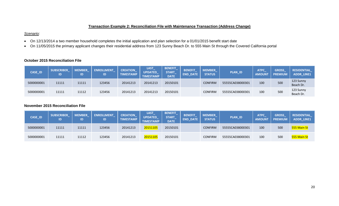### **Transaction Example 2: Reconciliation File with Maintenance Transaction (Address Change)**

#### *Scenario:*

- On 12/13/2014 a two member household completes the initial application and plan selection for a 01/01/2015 benefit start date
- On 11/05/2015 the primary applicant changes their residential address from 123 Sunny Beach Dr. to 555 Main St through the Covered California portal

#### **October 2015 Reconciliation File**

| CASE_ID    | <b>SUBSCRIBER</b><br>ID | <b>MEMBER</b> | <b>ENROLLMENT</b><br>ID | <b>CREATION</b><br><b>TIMESTAMP</b> | <b>LAST_</b><br><b>UPDATED</b><br><b>TIMESTAMP</b> | <b>BENEFIT</b><br><b>START</b><br><b>DATE</b> | <b>BENEFIT</b><br><b>DATE</b><br><b>END</b> | <b>MEMBER</b><br><b>STATUS</b> | PLAN_ID          | <b>ATPC</b><br><b>AMOUN</b> | <b>GROSS</b><br><b>PREMIUM</b> | <b>RESIDENTIAL</b><br><b>ADDR_LINE1</b> |
|------------|-------------------------|---------------|-------------------------|-------------------------------------|----------------------------------------------------|-----------------------------------------------|---------------------------------------------|--------------------------------|------------------|-----------------------------|--------------------------------|-----------------------------------------|
| 5000000001 | 11111                   | 11111         | 123456                  | 20141213                            | 20141213                                           | 20150101                                      |                                             | <b>CONFIRM</b>                 | 55555CA038000301 | 100                         | 500                            | 123 Sunny<br>Beach Dr.                  |
| 5000000001 | 11111                   | 11112         | 123456                  | 20141213                            | 20141213                                           | 20150101                                      |                                             | <b>CONFIRM</b>                 | 55555CA038000301 | 100                         | 500                            | 123 Sunny<br>Beach Dr.                  |

### **November 2015 Reconciliation File**

| CASE_ID    | <b>SUBSCRIBER</b><br>ID | <b>MEMBER</b><br>ID | <b>ENROLLMENT</b> | <b>CREATION</b><br><b>TIMESTAMP</b> | LAST<br><b>UPDATED</b><br><b>TIMESTAMP</b> | <b>BENEFIT</b><br><b>START</b><br><b>DATE</b> | BENEFIT<br><b>END DATE</b> | <b>MEMBER</b><br><b>STATUS</b> | <b>PLAN_ID</b>   | <b>ATPC</b><br><b>AMOUNT</b> | GROSS<br><b>PREMIUM</b> | <b>RESIDENTIAL</b><br><b>ADDR LINE1</b> |
|------------|-------------------------|---------------------|-------------------|-------------------------------------|--------------------------------------------|-----------------------------------------------|----------------------------|--------------------------------|------------------|------------------------------|-------------------------|-----------------------------------------|
| 5000000001 | 11111                   | 11111               | 123456            | 20141213                            | 20151105                                   | 20150101                                      |                            | <b>CONFIRM</b>                 | 55555CA038000301 | 100                          | 500                     | 555 Main St                             |
| 5000000001 | 11111                   | 11112               | 123456            | 20141213                            | 20151105                                   | 20150101                                      |                            | <b>CONFIRM</b>                 | 55555CA038000301 | 100                          | 500                     | 555 Main St                             |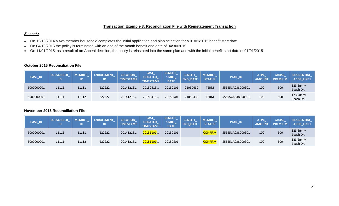### **Transaction Example 3: Reconciliation File with Reinstatement Transaction**

#### *Scenario:*

- On 12/13/2014 a two member household completes the initial application and plan selection for a 01/01/2015 benefit start date
- On 04/13/2015 the policy is terminated with an end of the month benefit end date of 04/30/2015
- On 11/01/2015, as a result of an Appeal decision, the policy is reinstated into the same plan and with the initial benefit start date of 01/01/2015

### **October 2015 Reconciliation File**

| CASE_ID    | <b>SUBSCRIBER</b><br>ID | <b>MEMBER</b><br>ID | <b>ENROLLMENT</b> | <b>CREATION</b><br><b>TIMESTAMP</b> | <b>LAST_</b><br><b>UPDATED</b><br><b>TIMESTAMP</b> | <b>BENEFIT</b><br><b>START</b><br><b>DATE</b> | <b>BENEFIT</b><br><b>DATE</b><br><b>END</b> | <b>MEMBER</b><br><b>STATUS</b> | PLAN_ID          | <b>ATPC</b><br><b>AMOUNT</b> | <b>GROSS</b><br><b>PREMIUM</b> | <b>RESIDENTIAL</b><br><b>ADDR_LINE1</b> |
|------------|-------------------------|---------------------|-------------------|-------------------------------------|----------------------------------------------------|-----------------------------------------------|---------------------------------------------|--------------------------------|------------------|------------------------------|--------------------------------|-----------------------------------------|
| 5000000001 | 11111                   | 11111               | 222222            | 20141213                            | 20150413                                           | 20150101                                      | 21050430                                    | <b>TERM</b>                    | 55555CA038000301 | 100                          | 500                            | 123 Sunny<br>Beach Dr.                  |
| 5000000001 | 11111                   | 11112               | 222222            | 20141213                            | 20150413                                           | 20150501                                      | 21050430                                    | <b>TERM</b>                    | 55555CA038000301 | 100                          | 500                            | 123 Sunny<br>Beach Dr.                  |

#### **November 2015 Reconciliation File**

| CASE_ID    | <b>SUBSCRIBER</b><br>ID | <b>MEMBER</b> | <b>ENROLLMENT</b><br>ID | <b>CREATION</b><br><b>TIMESTAMP</b> | <b>LAST</b><br><b>UPDATED</b><br><b>TIMESTAMP</b> | <b>BENEFIT</b><br><b>START</b><br><b>DATE</b> | <b>BENEFIT</b><br><b>END DATE</b> | <b>MEMBER</b><br><b>STATUS</b> | <b>PLAN_ID</b>   | <b>ATPC</b><br><b>AMOUN</b> | <b>GROSS</b><br><b>PREMIUM</b> | <b>RESIDENTIAL</b><br><b>ADDR LINE1</b> |
|------------|-------------------------|---------------|-------------------------|-------------------------------------|---------------------------------------------------|-----------------------------------------------|-----------------------------------|--------------------------------|------------------|-----------------------------|--------------------------------|-----------------------------------------|
| 5000000001 | 11111                   | 11111         | 222222                  | 20141213                            | 20151101                                          | 20150101                                      |                                   | <b>CONFIRM</b>                 | 55555CA038000301 | 100                         | 500                            | 123 Sunny<br>Beach Dr.                  |
| 5000000001 | 11111                   | 11112         | 222222                  | 20141213                            | 20151101                                          | 20150501                                      |                                   | <b>CONFIRM</b>                 | 55555CA038000301 | 100                         | 500                            | 123 Sunny<br>Beach Dr.                  |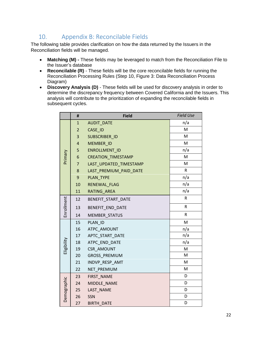# <span id="page-21-0"></span>10. Appendix B: Reconcilable Fields

The following table provides clarification on how the data returned by the Issuers in the Reconciliation fields will be managed.

- **Matching (M) -** These fields may be leveraged to match from the Reconciliation File to the Issuer's database
- **Reconcilable (R)** These fields will be the core reconcilable fields for running the Reconciliation Processing Rules (Step 10, Figure 3: Data Reconciliation Process Diagram)
- **Discovery Analysis (D)** These fields will be used for discovery analysis in order to determine the discrepancy frequency between Covered California and the Issuers. This analysis will contribute to the prioritization of expanding the reconcilable fields in subsequent cycles.

|             | #              | <b>Field</b>              | <b>Field Use</b> |
|-------------|----------------|---------------------------|------------------|
|             | $\mathbf{1}$   | <b>AUDIT_DATE</b>         | n/a              |
|             | $\overline{2}$ | CASE_ID                   | M                |
|             | 3              | <b>SUBSCRIBER ID</b>      | M                |
|             | $\overline{4}$ | MEMBER ID                 | M                |
|             | 5              | ENROLLMENT_ID             | n/a              |
| Primary     | 6              | <b>CREATION_TIMESTAMP</b> | M                |
|             | $\overline{7}$ | LAST UPDATED TIMESTAMP    | M                |
|             | 8              | LAST_PREMIUM_PAID_DATE    | $\sf R$          |
|             | 9              | <b>PLAN TYPE</b>          | n/a              |
|             | 10             | RENEWAL FLAG              | n/a              |
|             | 11             | RATING_AREA               | n/a              |
|             | 12             | BENEFIT START DATE        | R                |
| Enrollment  | 13             | BENEFIT_END_DATE          | R                |
|             | 14             | <b>MEMBER STATUS</b>      | ${\sf R}$        |
|             | 15             | PLAN ID                   | M                |
|             | 16             | ATPC AMOUNT               | n/a              |
|             | 17             | APTC_START_DATE           | n/a              |
| Eligibility | 18             | ATPC END DATE             | n/a              |
|             | 19             | <b>CSR_AMOUNT</b>         | M                |
|             | 20             | GROSS_PREMIUM             | M                |
|             | 21             | INDVP_RESP_AMT            | M                |
|             | 22             | NET_PREMIUM               | M                |
|             | 23             | FIRST NAME                | D                |
| Demographic | 24             | MIDDLE NAME               | D                |
|             | 25             | LAST NAME                 | D                |
|             | 26             | SSN                       | D                |
|             | 27             | <b>BIRTH DATE</b>         | D                |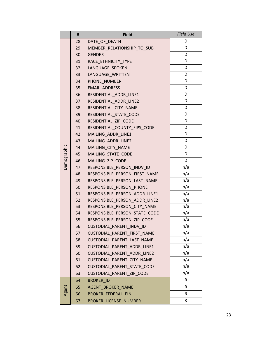|             | #  | <b>Field</b>                  | <b>Field Use</b> |
|-------------|----|-------------------------------|------------------|
|             | 28 | DATE_OF_DEATH                 | D                |
|             | 29 | MEMBER_RELATIONSHIP_TO_SUB    | D                |
|             | 30 | <b>GENDER</b>                 | D                |
|             | 31 | RACE ETHNICITY TYPE           | D                |
|             | 32 | LANGUAGE SPOKEN               | D                |
|             | 33 | LANGUAGE_WRITTEN              | D                |
|             | 34 | PHONE NUMBER                  | D                |
|             | 35 | <b>EMAIL ADDRESS</b>          | D                |
|             | 36 | RESIDENTIAL_ADDR_LINE1        | D                |
|             | 37 | RESIDENTIAL ADDR LINE2        | D                |
|             | 38 | RESIDENTIAL_CITY_NAME         | D                |
|             | 39 | RESIDENTIAL_STATE_CODE        | D                |
|             | 40 | RESIDENTIAL_ZIP_CODE          | D                |
|             | 41 | RESIDENTIAL_COUNTY_FIPS_CODE  | D                |
|             | 42 | MAILING ADDR LINE1            | D                |
|             | 43 | MAILING ADDR LINE2            | D                |
|             | 44 | MAILING CITY NAME             | D                |
| Demographic | 45 | MAILING_STATE_CODE            | D                |
|             | 46 | MAILING_ZIP_CODE              | D                |
|             | 47 | RESPONSIBLE_PERSON_INDV_ID    | n/a              |
|             | 48 | RESPONSIBLE_PERSON_FIRST_NAME | n/a              |
|             | 49 | RESPONSIBLE PERSON LAST NAME  | n/a              |
|             | 50 | RESPONSIBLE PERSON PHONE      | n/a              |
|             | 51 | RESPONSIBLE PERSON ADDR LINE1 | n/a              |
|             | 52 | RESPONSIBLE_PERSON_ADDR_LINE2 | n/a              |
|             | 53 | RESPONSIBLE_PERSON_CITY_NAME  | n/a              |
|             | 54 | RESPONSIBLE_PERSON_STATE_CODE | n/a              |
|             | 55 | RESPONSIBLE PERSON ZIP CODE   | n/a              |
|             | 56 | CUSTODIAL_PARENT_INDV_ID      | n/a              |
|             | 57 | CUSTODIAL PARENT FIRST NAME   | n/a              |
|             | 58 | CUSTODIAL PARENT LAST NAME    | n/a              |
|             | 59 | CUSTODIAL PARENT ADDR LINE1   | n/a              |
|             | 60 | CUSTODIAL PARENT ADDR LINE2   | n/a              |
|             | 61 | CUSTODIAL PARENT CITY NAME    | n/a              |
|             | 62 | CUSTODIAL_PARENT_STATE_CODE   | n/a              |
|             | 63 | CUSTODIAL_PARENT_ZIP_CODE     | n/a              |
| Agent       | 64 | <b>BROKER ID</b>              | R                |
|             | 65 | AGENT_BROKER_NAME             | R                |
|             | 66 | <b>BROKER FEDERAL EIN</b>     | R                |
|             | 67 | <b>BROKER_LICENSE_NUMBER</b>  | R                |